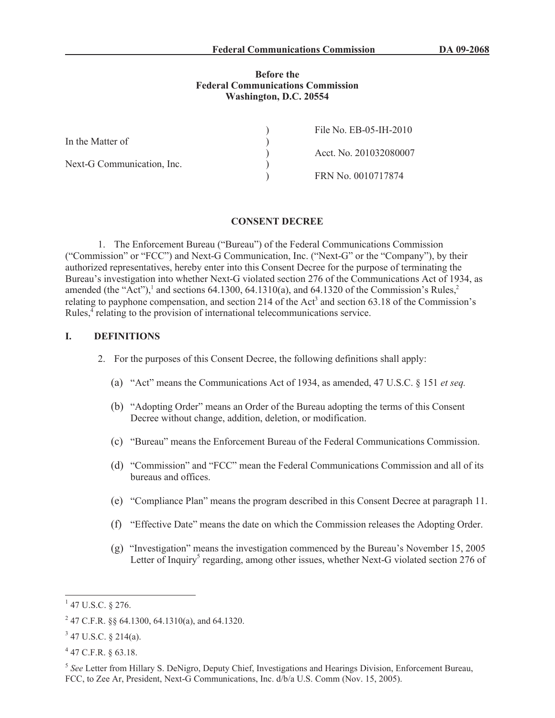### **Before the Federal Communications Commission Washington, D.C. 20554**

|                            | File No. EB-05-IH-2010 |
|----------------------------|------------------------|
| In the Matter of           |                        |
|                            | Acct. No. 201032080007 |
| Next-G Communication, Inc. |                        |
|                            | FRN No. 0010717874     |

#### **CONSENT DECREE**

1. The Enforcement Bureau ("Bureau") of the Federal Communications Commission ("Commission" or "FCC") and Next-G Communication, Inc. ("Next-G" or the "Company"), by their authorized representatives, hereby enter into this Consent Decree for the purpose of terminating the Bureau's investigation into whether Next-G violated section 276 of the Communications Act of 1934, as amended (the "Act"),<sup>1</sup> and sections 64.1300, 64.1310(a), and 64.1320 of the Commission's Rules,<sup>2</sup> relating to payphone compensation, and section 214 of the Act<sup>3</sup> and section 63.18 of the Commission's Rules,<sup>4</sup> relating to the provision of international telecommunications service.

## **I. DEFINITIONS**

- 2. For the purposes of this Consent Decree, the following definitions shall apply:
	- (a) "Act" means the Communications Act of 1934, as amended, 47 U.S.C. § 151 *et seq.*
	- (b) "Adopting Order" means an Order of the Bureau adopting the terms of this Consent Decree without change, addition, deletion, or modification.
	- (c) "Bureau" means the Enforcement Bureau of the Federal Communications Commission.
	- (d) "Commission" and "FCC" mean the Federal Communications Commission and all of its bureaus and offices.
	- (e) "Compliance Plan" means the program described in this Consent Decree at paragraph 11.
	- (f) "Effective Date" means the date on which the Commission releases the Adopting Order.
	- (g) "Investigation" means the investigation commenced by the Bureau's November 15, 2005 Letter of Inquiry<sup>5</sup> regarding, among other issues, whether Next-G violated section 276 of

 $1$  47 U.S.C. § 276.

<sup>&</sup>lt;sup>2</sup> 47 C.F.R. §§ 64.1300, 64.1310(a), and 64.1320.

 $3$  47 U.S.C. § 214(a).

 $4$  47 C.F.R. § 63.18.

<sup>5</sup> *See* Letter from Hillary S. DeNigro, Deputy Chief, Investigations and Hearings Division, Enforcement Bureau, FCC, to Zee Ar, President, Next-G Communications, Inc. d/b/a U.S. Comm (Nov. 15, 2005).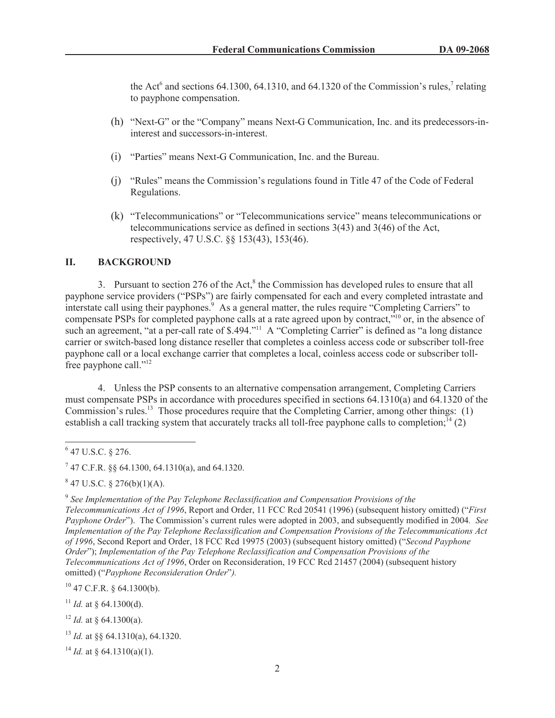the Act<sup>6</sup> and sections 64.1300, 64.1310, and 64.1320 of the Commission's rules,<sup>7</sup> relating to payphone compensation.

- (h) "Next-G" or the "Company" means Next-G Communication, Inc. and its predecessors-ininterest and successors-in-interest.
- (i) "Parties" means Next-G Communication, Inc. and the Bureau.
- (j) "Rules" means the Commission's regulations found in Title 47 of the Code of Federal Regulations.
- (k) "Telecommunications" or "Telecommunications service" means telecommunications or telecommunications service as defined in sections 3(43) and 3(46) of the Act, respectively, 47 U.S.C. §§ 153(43), 153(46).

# **II. BACKGROUND**

3. Pursuant to section 276 of the Act, $<sup>8</sup>$  the Commission has developed rules to ensure that all</sup> payphone service providers ("PSPs") are fairly compensated for each and every completed intrastate and interstate call using their payphones.<sup>9</sup> As a general matter, the rules require "Completing Carriers" to compensate PSPs for completed payphone calls at a rate agreed upon by contract,"<sup>10</sup> or, in the absence of such an agreement, "at a per-call rate of \$.494."<sup>11</sup> A "Completing Carrier" is defined as "a long distance carrier or switch-based long distance reseller that completes a coinless access code or subscriber toll-free payphone call or a local exchange carrier that completes a local, coinless access code or subscriber tollfree payphone call."<sup>12</sup>

4. Unless the PSP consents to an alternative compensation arrangement, Completing Carriers must compensate PSPs in accordance with procedures specified in sections 64.1310(a) and 64.1320 of the Commission's rules.<sup>13</sup> Those procedures require that the Completing Carrier, among other things: (1) establish a call tracking system that accurately tracks all toll-free payphone calls to completion;<sup> $14$ </sup> (2)

 $847$  U.S.C. § 276(b)(1)(A).

9 *See Implementation of the Pay Telephone Reclassification and Compensation Provisions of the Telecommunications Act of 1996*, Report and Order, 11 FCC Rcd 20541 (1996) (subsequent history omitted) ("*First Payphone Order*"). The Commission's current rules were adopted in 2003, and subsequently modified in 2004*. See Implementation of the Pay Telephone Reclassification and Compensation Provisions of the Telecommunications Act of 1996*, Second Report and Order, 18 FCC Rcd 19975 (2003) (subsequent history omitted) ("*Second Payphone Order*"); *Implementation of the Pay Telephone Reclassification and Compensation Provisions of the Telecommunications Act of 1996*, Order on Reconsideration, 19 FCC Rcd 21457 (2004) (subsequent history omitted) ("*Payphone Reconsideration Order*"*).*

 $^{10}$  47 C.F.R. § 64.1300(b).

<sup>11</sup> *Id.* at § 64.1300(d).

<sup>14</sup> *Id.* at  $\frac{64.1310(a)(1)}{2}$ .

 $6$  47 U.S.C. § 276.

 $7$  47 C.F.R. §§ 64.1300, 64.1310(a), and 64.1320.

 $12$  *Id.* at  $\frac{864.1300(a)}{a}$ .

<sup>13</sup> *Id.* at §§ 64.1310(a), 64.1320.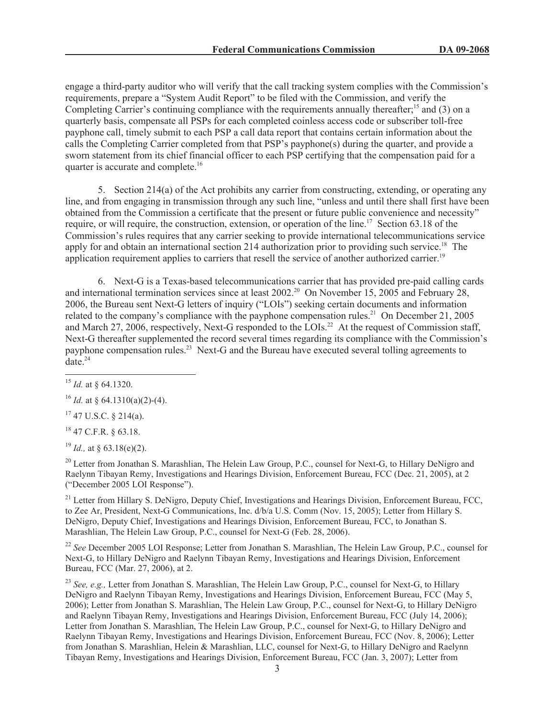engage a third-party auditor who will verify that the call tracking system complies with the Commission's requirements, prepare a "System Audit Report" to be filed with the Commission, and verify the Completing Carrier's continuing compliance with the requirements annually thereafter;<sup>15</sup> and (3) on a quarterly basis, compensate all PSPs for each completed coinless access code or subscriber toll-free payphone call, timely submit to each PSP a call data report that contains certain information about the calls the Completing Carrier completed from that PSP's payphone(s) during the quarter, and provide a sworn statement from its chief financial officer to each PSP certifying that the compensation paid for a quarter is accurate and complete.<sup>16</sup>

5. Section 214(a) of the Act prohibits any carrier from constructing, extending, or operating any line, and from engaging in transmission through any such line, "unless and until there shall first have been obtained from the Commission a certificate that the present or future public convenience and necessity" require, or will require, the construction, extension, or operation of the line.<sup>17</sup> Section 63.18 of the Commission's rules requires that any carrier seeking to provide international telecommunications service apply for and obtain an international section 214 authorization prior to providing such service.<sup>18</sup> The application requirement applies to carriers that resell the service of another authorized carrier.<sup>19</sup>

6. Next-G is a Texas-based telecommunications carrier that has provided pre-paid calling cards and international termination services since at least 2002.<sup>20</sup> On November 15, 2005 and February 28, 2006, the Bureau sent Next-G letters of inquiry ("LOIs") seeking certain documents and information related to the company's compliance with the payphone compensation rules.<sup>21</sup> On December 21, 2005 and March 27, 2006, respectively, Next-G responded to the LOIs.<sup>22</sup> At the request of Commission staff, Next-G thereafter supplemented the record several times regarding its compliance with the Commission's payphone compensation rules.<sup>23</sup> Next-G and the Bureau have executed several tolling agreements to  $\arctan 24$ 

<sup>16</sup> *Id.* at § 64.1310(a)(2)-(4).

 $17$  47 U.S.C. § 214(a).

<sup>18</sup> 47 C.F.R. § 63.18.

<sup>19</sup> *Id.,* at § 63.18(e)(2).

<sup>20</sup> Letter from Jonathan S. Marashlian, The Helein Law Group, P.C., counsel for Next-G, to Hillary DeNigro and Raelynn Tibayan Remy, Investigations and Hearings Division, Enforcement Bureau, FCC (Dec. 21, 2005), at 2 ("December 2005 LOI Response").

<sup>21</sup> Letter from Hillary S. DeNigro, Deputy Chief, Investigations and Hearings Division, Enforcement Bureau, FCC, to Zee Ar, President, Next-G Communications, Inc. d/b/a U.S. Comm (Nov. 15, 2005); Letter from Hillary S. DeNigro, Deputy Chief, Investigations and Hearings Division, Enforcement Bureau, FCC, to Jonathan S. Marashlian, The Helein Law Group, P.C., counsel for Next-G (Feb. 28, 2006).

<sup>22</sup> See December 2005 LOI Response; Letter from Jonathan S. Marashlian, The Helein Law Group, P.C., counsel for Next-G, to Hillary DeNigro and Raelynn Tibayan Remy, Investigations and Hearings Division, Enforcement Bureau, FCC (Mar. 27, 2006), at 2.

<sup>23</sup> See, e.g., Letter from Jonathan S. Marashlian, The Helein Law Group, P.C., counsel for Next-G, to Hillary DeNigro and Raelynn Tibayan Remy, Investigations and Hearings Division, Enforcement Bureau, FCC (May 5, 2006); Letter from Jonathan S. Marashlian, The Helein Law Group, P.C., counsel for Next-G, to Hillary DeNigro and Raelynn Tibayan Remy, Investigations and Hearings Division, Enforcement Bureau, FCC (July 14, 2006); Letter from Jonathan S. Marashlian, The Helein Law Group, P.C., counsel for Next-G, to Hillary DeNigro and Raelynn Tibayan Remy, Investigations and Hearings Division, Enforcement Bureau, FCC (Nov. 8, 2006); Letter from Jonathan S. Marashlian, Helein & Marashlian, LLC, counsel for Next-G, to Hillary DeNigro and Raelynn Tibayan Remy, Investigations and Hearings Division, Enforcement Bureau, FCC (Jan. 3, 2007); Letter from

<sup>15</sup> *Id.* at § 64.1320.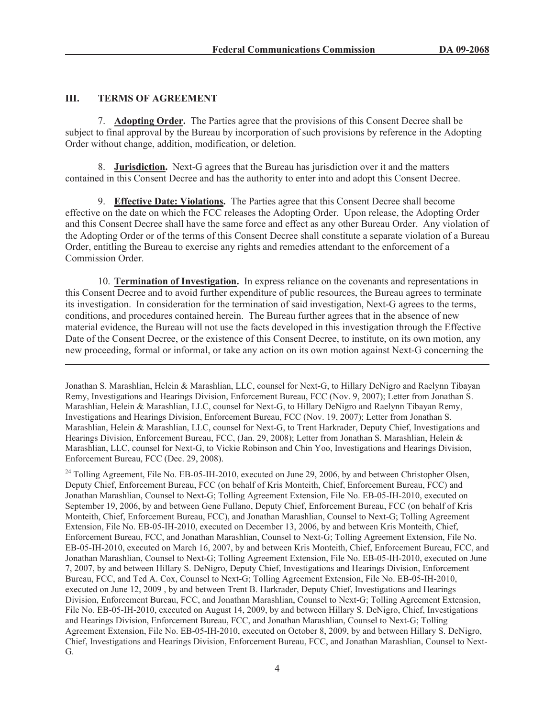### **III. TERMS OF AGREEMENT**

7. **Adopting Order.** The Parties agree that the provisions of this Consent Decree shall be subject to final approval by the Bureau by incorporation of such provisions by reference in the Adopting Order without change, addition, modification, or deletion.

8. **Jurisdiction.** Next-G agrees that the Bureau has jurisdiction over it and the matters contained in this Consent Decree and has the authority to enter into and adopt this Consent Decree.

9. **Effective Date: Violations.** The Parties agree that this Consent Decree shall become effective on the date on which the FCC releases the Adopting Order. Upon release, the Adopting Order and this Consent Decree shall have the same force and effect as any other Bureau Order. Any violation of the Adopting Order or of the terms of this Consent Decree shall constitute a separate violation of a Bureau Order, entitling the Bureau to exercise any rights and remedies attendant to the enforcement of a Commission Order.

10. **Termination of Investigation.** In express reliance on the covenants and representations in this Consent Decree and to avoid further expenditure of public resources, the Bureau agrees to terminate its investigation. In consideration for the termination of said investigation, Next-G agrees to the terms, conditions, and procedures contained herein. The Bureau further agrees that in the absence of new material evidence, the Bureau will not use the facts developed in this investigation through the Effective Date of the Consent Decree, or the existence of this Consent Decree, to institute, on its own motion, any new proceeding, formal or informal, or take any action on its own motion against Next-G concerning the

Jonathan S. Marashlian, Helein & Marashlian, LLC, counsel for Next-G, to Hillary DeNigro and Raelynn Tibayan Remy, Investigations and Hearings Division, Enforcement Bureau, FCC (Nov. 9, 2007); Letter from Jonathan S. Marashlian, Helein & Marashlian, LLC, counsel for Next-G, to Hillary DeNigro and Raelynn Tibayan Remy, Investigations and Hearings Division, Enforcement Bureau, FCC (Nov. 19, 2007); Letter from Jonathan S. Marashlian, Helein & Marashlian, LLC, counsel for Next-G, to Trent Harkrader, Deputy Chief, Investigations and Hearings Division, Enforcement Bureau, FCC, (Jan. 29, 2008); Letter from Jonathan S. Marashlian, Helein & Marashlian, LLC, counsel for Next-G, to Vickie Robinson and Chin Yoo, Investigations and Hearings Division, Enforcement Bureau, FCC (Dec. 29, 2008).

<sup>&</sup>lt;sup>24</sup> Tolling Agreement, File No. EB-05-IH-2010, executed on June 29, 2006, by and between Christopher Olsen, Deputy Chief, Enforcement Bureau, FCC (on behalf of Kris Monteith, Chief, Enforcement Bureau, FCC) and Jonathan Marashlian, Counsel to Next-G; Tolling Agreement Extension, File No. EB-05-IH-2010, executed on September 19, 2006, by and between Gene Fullano, Deputy Chief, Enforcement Bureau, FCC (on behalf of Kris Monteith, Chief, Enforcement Bureau, FCC), and Jonathan Marashlian, Counsel to Next-G; Tolling Agreement Extension, File No. EB-05-IH-2010, executed on December 13, 2006, by and between Kris Monteith, Chief, Enforcement Bureau, FCC, and Jonathan Marashlian, Counsel to Next-G; Tolling Agreement Extension, File No. EB-05-IH-2010, executed on March 16, 2007, by and between Kris Monteith, Chief, Enforcement Bureau, FCC, and Jonathan Marashlian, Counsel to Next-G; Tolling Agreement Extension, File No. EB-05-IH-2010, executed on June 7, 2007, by and between Hillary S. DeNigro, Deputy Chief, Investigations and Hearings Division, Enforcement Bureau, FCC, and Ted A. Cox, Counsel to Next-G; Tolling Agreement Extension, File No. EB-05-IH-2010, executed on June 12, 2009 , by and between Trent B. Harkrader, Deputy Chief, Investigations and Hearings Division, Enforcement Bureau, FCC, and Jonathan Marashlian, Counsel to Next-G; Tolling Agreement Extension, File No. EB-05-IH-2010, executed on August 14, 2009, by and between Hillary S. DeNigro, Chief, Investigations and Hearings Division, Enforcement Bureau, FCC, and Jonathan Marashlian, Counsel to Next-G; Tolling Agreement Extension, File No. EB-05-IH-2010, executed on October 8, 2009, by and between Hillary S. DeNigro, Chief, Investigations and Hearings Division, Enforcement Bureau, FCC, and Jonathan Marashlian, Counsel to Next-G.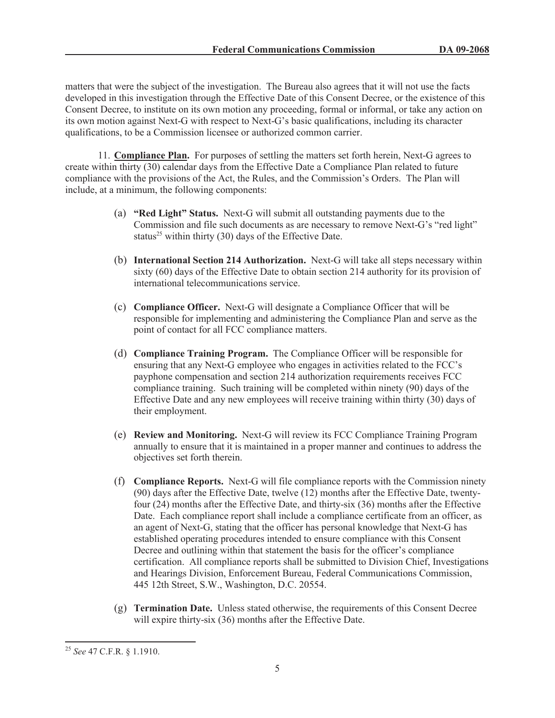matters that were the subject of the investigation. The Bureau also agrees that it will not use the facts developed in this investigation through the Effective Date of this Consent Decree, or the existence of this Consent Decree, to institute on its own motion any proceeding, formal or informal, or take any action on its own motion against Next-G with respect to Next-G's basic qualifications, including its character qualifications, to be a Commission licensee or authorized common carrier.

11. **Compliance Plan.** For purposes of settling the matters set forth herein, Next-G agrees to create within thirty (30) calendar days from the Effective Date a Compliance Plan related to future compliance with the provisions of the Act, the Rules, and the Commission's Orders. The Plan will include, at a minimum, the following components:

- (a) **"Red Light" Status.** Next-G will submit all outstanding payments due to the Commission and file such documents as are necessary to remove Next-G's "red light" status<sup>25</sup> within thirty (30) days of the Effective Date.
- (b) **International Section 214 Authorization.** Next-G will take all steps necessary within sixty (60) days of the Effective Date to obtain section 214 authority for its provision of international telecommunications service.
- (c) **Compliance Officer.** Next-G will designate a Compliance Officer that will be responsible for implementing and administering the Compliance Plan and serve as the point of contact for all FCC compliance matters.
- (d) **Compliance Training Program.** The Compliance Officer will be responsible for ensuring that any Next-G employee who engages in activities related to the FCC's payphone compensation and section 214 authorization requirements receives FCC compliance training. Such training will be completed within ninety (90) days of the Effective Date and any new employees will receive training within thirty (30) days of their employment.
- (e) **Review and Monitoring.** Next-G will review its FCC Compliance Training Program annually to ensure that it is maintained in a proper manner and continues to address the objectives set forth therein.
- (f) **Compliance Reports.** Next-G will file compliance reports with the Commission ninety (90) days after the Effective Date, twelve (12) months after the Effective Date, twentyfour (24) months after the Effective Date, and thirty-six (36) months after the Effective Date. Each compliance report shall include a compliance certificate from an officer, as an agent of Next-G, stating that the officer has personal knowledge that Next-G has established operating procedures intended to ensure compliance with this Consent Decree and outlining within that statement the basis for the officer's compliance certification. All compliance reports shall be submitted to Division Chief, Investigations and Hearings Division, Enforcement Bureau, Federal Communications Commission, 445 12th Street, S.W., Washington, D.C. 20554.
- (g) **Termination Date.** Unless stated otherwise, the requirements of this Consent Decree will expire thirty-six (36) months after the Effective Date.

<sup>25</sup> *See* 47 C.F.R. § 1.1910.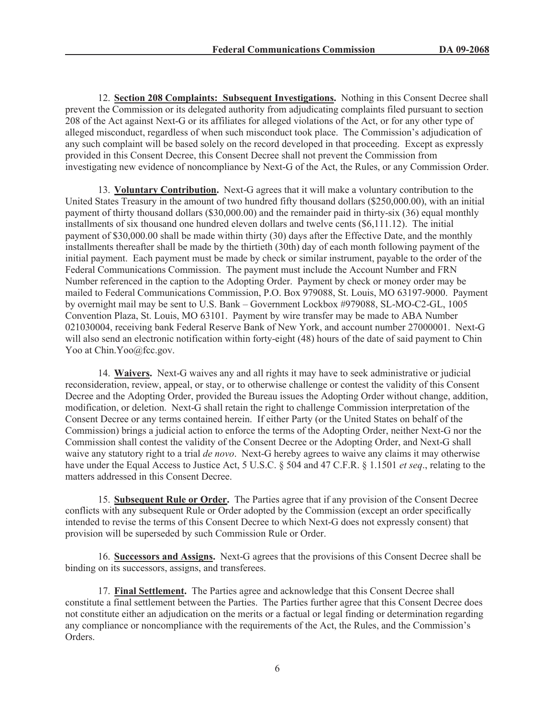12. **Section 208 Complaints: Subsequent Investigations.** Nothing in this Consent Decree shall prevent the Commission or its delegated authority from adjudicating complaints filed pursuant to section 208 of the Act against Next-G or its affiliates for alleged violations of the Act, or for any other type of alleged misconduct, regardless of when such misconduct took place. The Commission's adjudication of any such complaint will be based solely on the record developed in that proceeding. Except as expressly provided in this Consent Decree, this Consent Decree shall not prevent the Commission from investigating new evidence of noncompliance by Next-G of the Act, the Rules, or any Commission Order.

13. **Voluntary Contribution.** Next-G agrees that it will make a voluntary contribution to the United States Treasury in the amount of two hundred fifty thousand dollars (\$250,000.00), with an initial payment of thirty thousand dollars (\$30,000.00) and the remainder paid in thirty-six (36) equal monthly installments of six thousand one hundred eleven dollars and twelve cents (\$6,111.12). The initial payment of \$30,000.00 shall be made within thirty (30) days after the Effective Date, and the monthly installments thereafter shall be made by the thirtieth (30th) day of each month following payment of the initial payment. Each payment must be made by check or similar instrument, payable to the order of the Federal Communications Commission. The payment must include the Account Number and FRN Number referenced in the caption to the Adopting Order. Payment by check or money order may be mailed to Federal Communications Commission, P.O. Box 979088, St. Louis, MO 63197-9000. Payment by overnight mail may be sent to U.S. Bank – Government Lockbox #979088, SL-MO-C2-GL, 1005 Convention Plaza, St. Louis, MO 63101. Payment by wire transfer may be made to ABA Number 021030004, receiving bank Federal Reserve Bank of New York, and account number 27000001. Next-G will also send an electronic notification within forty-eight (48) hours of the date of said payment to Chin Yoo at Chin.Yoo@fcc.gov.

14. **Waivers.** Next-G waives any and all rights it may have to seek administrative or judicial reconsideration, review, appeal, or stay, or to otherwise challenge or contest the validity of this Consent Decree and the Adopting Order, provided the Bureau issues the Adopting Order without change, addition, modification, or deletion. Next-G shall retain the right to challenge Commission interpretation of the Consent Decree or any terms contained herein. If either Party (or the United States on behalf of the Commission) brings a judicial action to enforce the terms of the Adopting Order, neither Next-G nor the Commission shall contest the validity of the Consent Decree or the Adopting Order, and Next-G shall waive any statutory right to a trial *de novo*. Next-G hereby agrees to waive any claims it may otherwise have under the Equal Access to Justice Act, 5 U.S.C. § 504 and 47 C.F.R. § 1.1501 *et seq*., relating to the matters addressed in this Consent Decree.

15. **Subsequent Rule or Order.** The Parties agree that if any provision of the Consent Decree conflicts with any subsequent Rule or Order adopted by the Commission (except an order specifically intended to revise the terms of this Consent Decree to which Next-G does not expressly consent) that provision will be superseded by such Commission Rule or Order.

16. **Successors and Assigns.** Next-G agrees that the provisions of this Consent Decree shall be binding on its successors, assigns, and transferees.

17. **Final Settlement.** The Parties agree and acknowledge that this Consent Decree shall constitute a final settlement between the Parties. The Parties further agree that this Consent Decree does not constitute either an adjudication on the merits or a factual or legal finding or determination regarding any compliance or noncompliance with the requirements of the Act, the Rules, and the Commission's Orders.